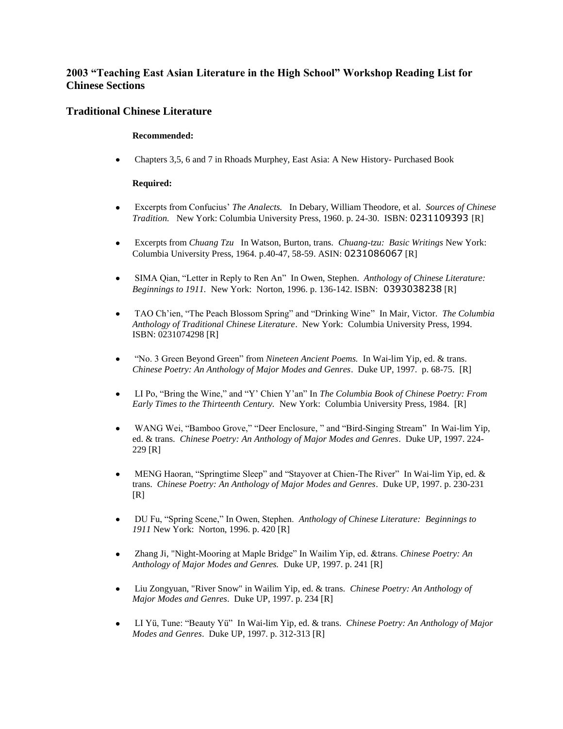# **2003 "Teaching East Asian Literature in the High School" Workshop Reading List for Chinese Sections**

## **Traditional Chinese Literature**

#### **Recommended:**

 Chapters 3,5, 6 and 7 in Rhoads Murphey, East Asia: A New History- Purchased Book  $\bullet$ 

### **Required:**

- Excerpts from Confucius' *The Analects.* In Debary, William Theodore, et al. *Sources of Chinese Tradition.* New York: Columbia University Press, 1960. p. 24-30. ISBN: 0231109393 [R]
- Excerpts from *Chuang Tzu* In Watson, Burton, trans. *Chuang-tzu: Basic Writings* New York: Columbia University Press, 1964. p.40-47, 58-59. ASIN: 0231086067 [R]
- SIMA Qian, "Letter in Reply to Ren An" In Owen, Stephen. *Anthology of Chinese Literature: Beginnings to 1911.* New York: Norton, 1996. p. 136-142. ISBN: 0393038238 [R]
- TAO Ch'ien, "The Peach Blossom Spring" and "Drinking Wine" In Mair, Victor. *The Columbia Anthology of Traditional Chinese Literature*. New York: Columbia University Press, 1994. ISBN: 0231074298 [R]
- "No. 3 Green Beyond Green" from *Nineteen Ancient Poems.* In Wai-lim Yip, ed. & trans. *Chinese Poetry: An Anthology of Major Modes and Genres*. Duke UP, 1997. p. 68-75. [R]
- LI Po, "Bring the Wine," and "Y' Chien Y'an" In *The Columbia Book of Chinese Poetry: From Early Times to the Thirteenth Century.* New York: Columbia University Press, 1984. [R]
- WANG Wei, "Bamboo Grove," "Deer Enclosure, " and "Bird-Singing Stream" In Wai-lim Yip, ed. & trans. *Chinese Poetry: An Anthology of Major Modes and Genres*. Duke UP, 1997. 224- 229 [R]
- MENG Haoran, "Springtime Sleep" and "Stayover at Chien-The River" In Wai-lim Yip, ed. & trans. *Chinese Poetry: An Anthology of Major Modes and Genres*. Duke UP, 1997. p. 230-231  $[R]$
- DU Fu, "Spring Scene," In Owen, Stephen. *Anthology of Chinese Literature: Beginnings to 1911* New York: Norton, 1996. p. 420 [R]
- Zhang Ji, "Night-Mooring at Maple Bridge" In Wailim Yip, ed. &trans. *Chinese Poetry: An Anthology of Major Modes and Genres.* Duke UP, 1997. p. 241 [R]
- Liu Zongyuan, "River Snow" in Wailim Yip, ed. & trans. *Chinese Poetry: An Anthology of Major Modes and Genres*. Duke UP, 1997. p. 234 [R]
- LI Yü, Tune: "Beauty Yü" In Wai-lim Yip, ed. & trans. *Chinese Poetry: An Anthology of Major Modes and Genres*. Duke UP, 1997. p. 312-313 [R]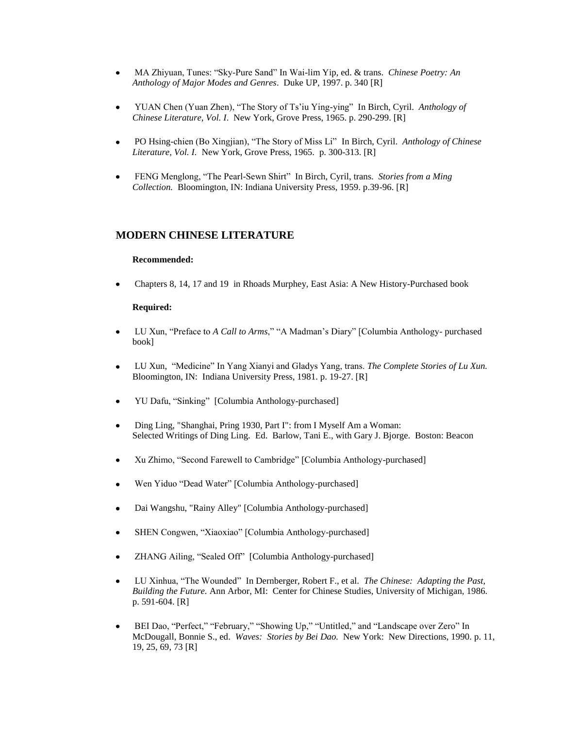- MA Zhiyuan, Tunes: "Sky-Pure Sand" In Wai-lim Yip, ed. & trans. *Chinese Poetry: An Anthology of Major Modes and Genres*. Duke UP, 1997. p. 340 [R]
- YUAN Chen (Yuan Zhen), "The Story of Ts'iu Ying-ying" In Birch, Cyril. *Anthology of Chinese Literature, Vol. I*. New York, Grove Press, 1965. p. 290-299. [R]
- PO Hsing-chien (Bo Xingjian), "The Story of Miss Li" In Birch, Cyril. *Anthology of Chinese Literature, Vol. I.* New York, Grove Press, 1965. p. 300-313. [R]
- FENG Menglong, "The Pearl-Sewn Shirt" In Birch, Cyril, trans. *Stories from a Ming Collection.* Bloomington, IN: Indiana University Press, 1959. p.39-96. [R]

## **MODERN CHINESE LITERATURE**

#### **Recommended:**

Chapters 8, 14, 17 and 19 in Rhoads Murphey, East Asia: A New History-Purchased book

#### **Required:**

- LU Xun, "Preface to *A Call to Arms*," "A Madman's Diary" [Columbia Anthology- purchased  $\bullet$ book]
- LU Xun, "Medicine" In Yang Xianyi and Gladys Yang, trans. *The Complete Stories of Lu Xun.* Bloomington, IN: Indiana University Press, 1981. p. 19-27. [R]
- YU Dafu, "Sinking" [Columbia Anthology-purchased]
- Ding Ling, "Shanghai, Pring 1930, Part I": from I Myself Am a Woman: Selected Writings of Ding Ling. Ed. Barlow, Tani E., with Gary J. Bjorge. Boston: Beacon
- Xu Zhimo, "Second Farewell to Cambridge" [Columbia Anthology-purchased]
- Wen Yiduo "Dead Water" [Columbia Anthology-purchased]
- Dai Wangshu, "Rainy Alley" [Columbia Anthology-purchased]
- SHEN Congwen, "Xiaoxiao" [Columbia Anthology-purchased]
- ZHANG Ailing, "Sealed Off" [Columbia Anthology-purchased]
- LU Xinhua, "The Wounded" In Dernberger, Robert F., et al. *The Chinese: Adapting the Past, Building the Future.* Ann Arbor, MI: Center for Chinese Studies, University of Michigan, 1986. p. 591-604. [R]
- BEI Dao, "Perfect," "February," "Showing Up," "Untitled," and "Landscape over Zero" In McDougall, Bonnie S., ed. *Waves: Stories by Bei Dao.* New York: New Directions, 1990. p. 11, 19, 25, 69, 73 [R]